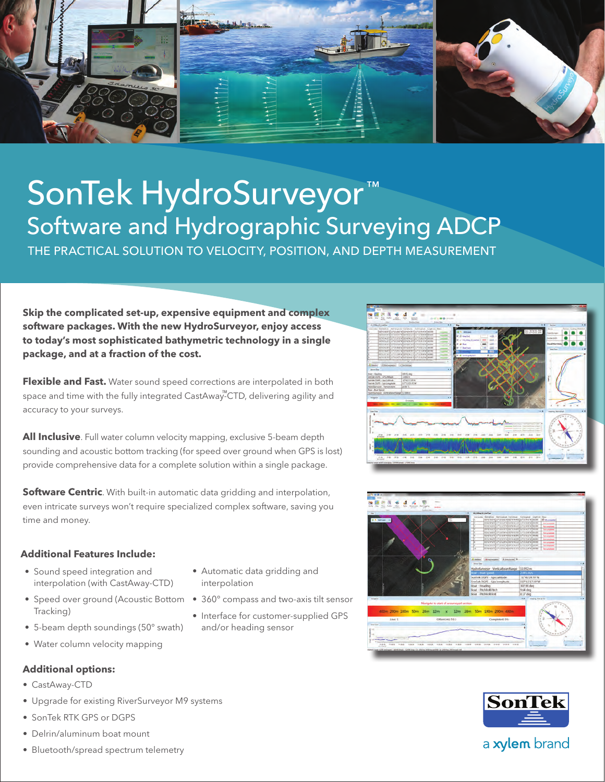

# SonTek HydroSurveyor ™ Software and Hydrographic Surveying ADCP

THE PRACTICAL SOLUTION TO VELOCITY, POSITION, AND DEPTH MEASUREMENT

**Skip the complicated set-up, expensive equipment and complex software packages. With the new HydroSurveyor, enjoy access to today's most sophisticated bathymetric technology in a single package, and at a fraction of the cost.** 

**Flexible and Fast.** Water sound speed corrections are interpolated in both space and time with the fully integrated CastAway"-CTD, delivering agility and accuracy to your surveys.

**All Inclusive**. Full water column velocity mapping, exclusive 5-beam depth sounding and acoustic bottom tracking (for speed over ground when GPS is lost) provide comprehensive data for a complete solution within a single package.

**Software Centric**. With built-in automatic data gridding and interpolation, even intricate surveys won't require specialized complex software, saving you time and money.

#### **Additional Features Include:**

- Sound speed integration and interpolation (with CastAway-CTD)
- Speed over ground (Acoustic Bottom Tracking)
- 5-beam depth soundings (50° swath)
- Water column velocity mapping

#### **Additional options:**

- CastAway-CTD
- • Upgrade for existing RiverSurveyor M9 systems
- SonTek RTK GPS or DGPS
- Delrin/aluminum boat mount
- Bluetooth/spread spectrum telemetry
- Automatic data gridding and interpolation
- 360° compass and two-axis tilt sensor
- Interface for customer-supplied GPS and/or heading sensor